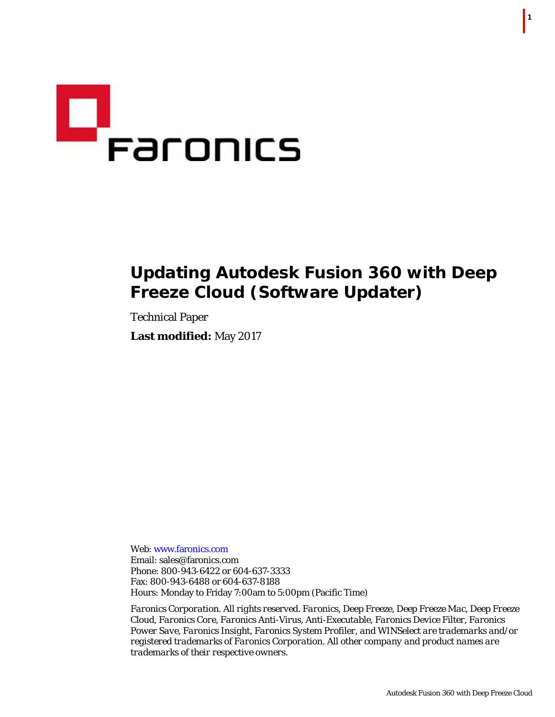

## **Updating Autodesk Fusion 360 with Deep Freeze Cloud (Software Updater)**

Technical Paper **Last modified:** May 2017

Web: www.faronics.com Email: sales@faronics.com Phone: 800-943-6422 or 604-637-3333 Fax: 800-943-6488 or 604-637-8188 Hours: Monday to Friday 7:00am to 5:00pm (Pacific Time)

*Faronics Corporation. All rights reserved. Faronics, Deep Freeze, Deep Freeze Mac, Deep Freeze Cloud, Faronics Core, Faronics Anti-Virus, Anti-Executable, Faronics Device Filter, Faronics Power Save, Faronics Insight, Faronics System Profiler, and WINSelect are trademarks and/or registered trademarks of Faronics Corporation. All other company and product names are trademarks of their respective owners.*

| **1**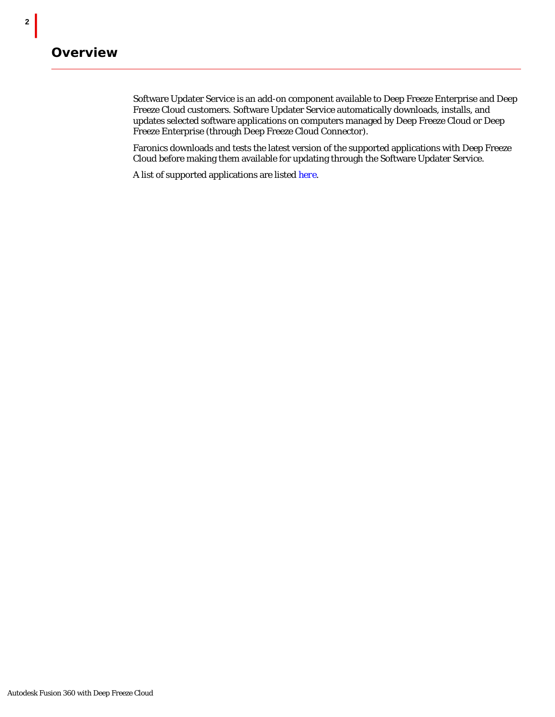**2** |

Software Updater Service is an add-on component available to Deep Freeze Enterprise and Deep Freeze Cloud customers. Software Updater Service automatically downloads, installs, and updates selected software applications on computers managed by Deep Freeze Cloud or Deep Freeze Enterprise (through Deep Freeze Cloud Connector).

Faronics downloads and tests the latest version of the supported applications with Deep Freeze Cloud before making them available for updating through the Software Updater Service.

A list of supported applications are listed *[here](http://www.faronics.com/deep-freeze-cloud-patch-mangement-automatic-software-update/#deep_freeze_cloud_tabs_display)*.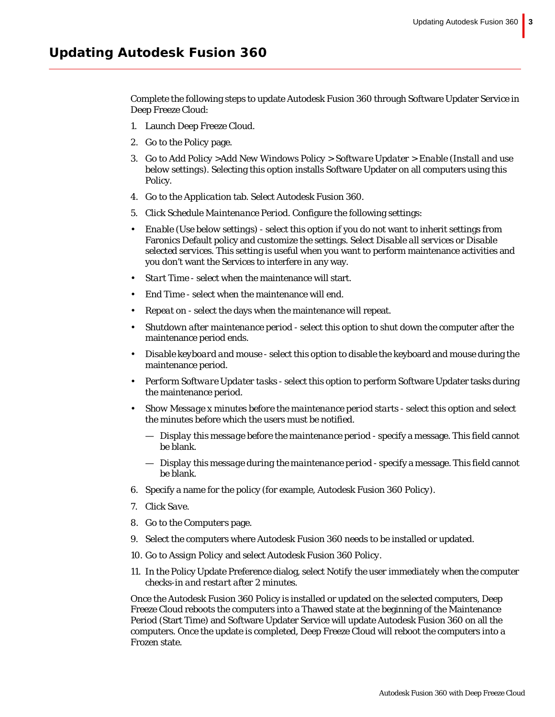Complete the following steps to update Autodesk Fusion 360 through Software Updater Service in Deep Freeze Cloud:

- 1. Launch Deep Freeze Cloud.
- 2. Go to the *Policy* page.
- 3. Go to *Add Policy >Add New Windows Policy > Software Updater > Enable (Install and use below settings)*. Selecting this option installs Software Updater on all computers using this Policy.
- 4. Go to the *Application* tab. Select *Autodesk Fusion 360*.
- 5. Click *Schedule Maintenance Period.* Configure the following settings:
- *Enable (Use below settings)*  select this option if you do not want to inherit settings from Faronics Default policy and customize the settings. Select *Disable all services* or *Disable selected services*. This setting is useful when you want to perform maintenance activities and you don't want the Services to interfere in any way.
- *Start Time*  select when the maintenance will start.
- *End Time* select when the maintenance will end.
- *Repeat on* select the days when the maintenance will repeat.
- *Shutdown after maintenance period* select this option to shut down the computer after the maintenance period ends.
- *Disable keyboard and mouse*  select this option to disable the keyboard and mouse during the maintenance period.
- *Perform Software Updater tasks* select this option to perform Software Updater tasks during the maintenance period.
- *Show Message x minutes before the maintenance period starts*  select this option and select the minutes before which the users must be notified.
	- *Display this message before the maintenance period* specify a message. This field cannot be blank.
	- *Display this message during the maintenance period* specify a message. This field cannot be blank.
- 6. Specify a name for the policy (for example, *Autodesk Fusion 360 Policy*).
- 7. Click *Save*.
- 8. Go to the *Computers* page.
- 9. Select the computers where Autodesk Fusion 360 needs to be installed or updated.
- 10. Go to *Assign Policy* and select *Autodesk Fusion 360 Policy*.
- 11. In the Policy Update Preference dialog, select *Notify the user immediately when the computer checks-in and restart after 2 minutes*.

Once the Autodesk Fusion 360 Policy is installed or updated on the selected computers, Deep Freeze Cloud reboots the computers into a Thawed state at the beginning of the Maintenance Period (Start Time) and Software Updater Service will update Autodesk Fusion 360 on all the computers. Once the update is completed, Deep Freeze Cloud will reboot the computers into a Frozen state.